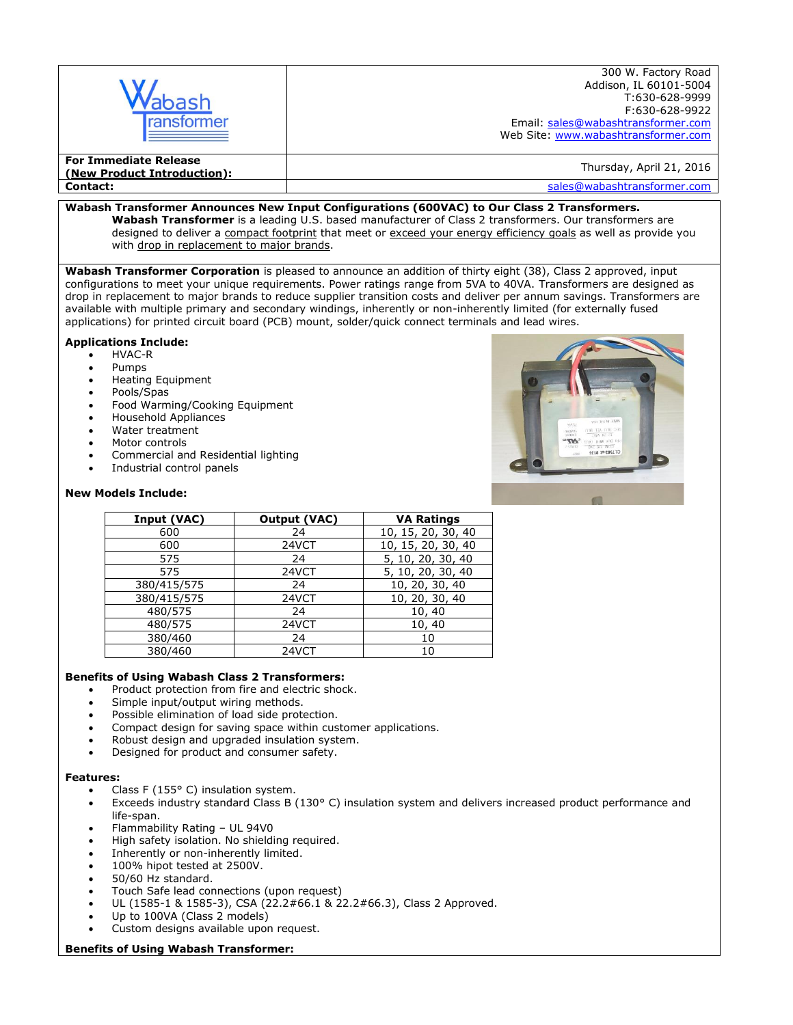| bash<br>ransformer                                          | 300 W. Factory Road<br>Addison, IL 60101-5004<br>T:630-628-9999<br>F:630-628-9922<br>Email: sales@wabashtransformer.com<br>Web Site: www.wabashtransformer.com |
|-------------------------------------------------------------|----------------------------------------------------------------------------------------------------------------------------------------------------------------|
| <b>For Immediate Release</b><br>(New Product Introduction): | Thursday, April 21, 2016                                                                                                                                       |
| <b>Contact:</b>                                             | sales@wabashtransformer.com                                                                                                                                    |

### **Wabash Transformer Announces New Input Configurations (600VAC) to Our Class 2 Transformers.**

**Wabash Transformer** is a leading U.S. based manufacturer of Class 2 transformers. Our transformers are designed to deliver a compact footprint that meet or exceed your energy efficiency goals as well as provide you with drop in replacement to major brands.

**Wabash Transformer Corporation** is pleased to announce an addition of thirty eight (38), Class 2 approved, input configurations to meet your unique requirements. Power ratings range from 5VA to 40VA. Transformers are designed as drop in replacement to major brands to reduce supplier transition costs and deliver per annum savings. Transformers are available with multiple primary and secondary windings, inherently or non-inherently limited (for externally fused applications) for printed circuit board (PCB) mount, solder/quick connect terminals and lead wires.

# **Applications Include:**

- HVAC-R
- Pumps
- Heating Equipment
- Pools/Spas
- Food Warming/Cooking Equipment
- Household Appliances
- Water treatment
- Motor controls
- Commercial and Residential lighting
- Industrial control panels

## **New Models Include:**

| Input (VAC) | Output (VAC) | <b>VA Ratings</b>  |
|-------------|--------------|--------------------|
| 600         | 24           | 10, 15, 20, 30, 40 |
| 600         | 24VCT        | 10, 15, 20, 30, 40 |
| 575         | 24           | 5, 10, 20, 30, 40  |
| 575         | 24VCT        | 5, 10, 20, 30, 40  |
| 380/415/575 | 24           | 10, 20, 30, 40     |
| 380/415/575 | 24VCT        | 10, 20, 30, 40     |
| 480/575     | 24           | 10, 40             |
| 480/575     | 24VCT        | 10, 40             |
| 380/460     | 24           | 10                 |
| 380/460     | 24VCT        | 10                 |

# **Benefits of Using Wabash Class 2 Transformers:**

- Product protection from fire and electric shock.
- Simple input/output wiring methods.
- Possible elimination of load side protection.
- Compact design for saving space within customer applications.
- Robust design and upgraded insulation system.
- Designed for product and consumer safety.

#### **Features:**

- Class F (155° C) insulation system.
- Exceeds industry standard Class B (130° C) insulation system and delivers increased product performance and life-span.
- Flammability Rating UL 94V0
- High safety isolation. No shielding required.
- Inherently or non-inherently limited.
- 100% hipot tested at 2500V.
- 50/60 Hz standard.
- Touch Safe lead connections (upon request)
- UL (1585-1 & 1585-3), CSA (22.2#66.1 & 22.2#66.3), Class 2 Approved.
- Up to 100VA (Class 2 models)
- Custom designs available upon request.

#### **Benefits of Using Wabash Transformer:**